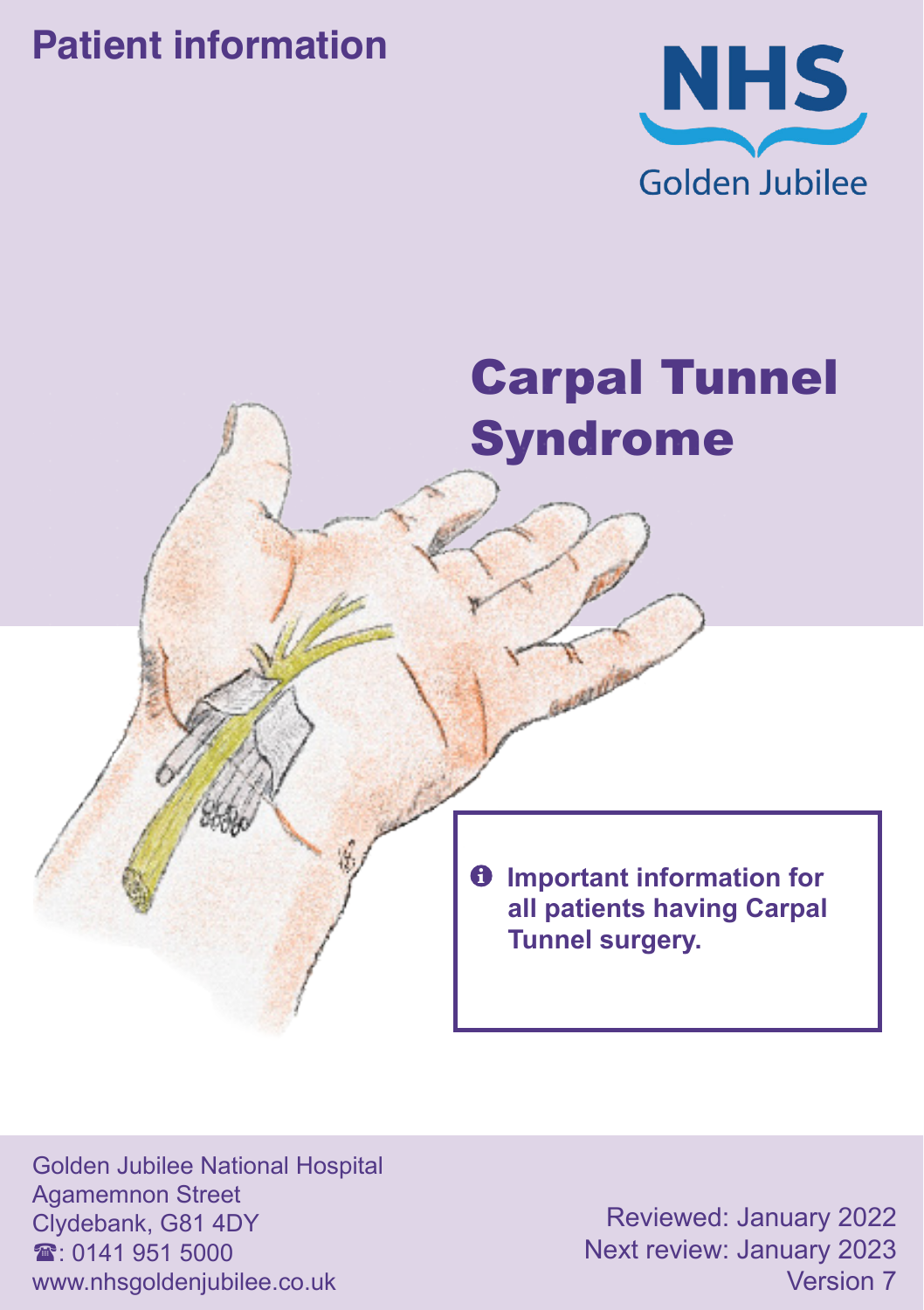## **Patient information**



# Carpal Tunnel Syndrome

 $\theta$  Important information for **all patients having Carpal Tunnel surgery.**

Golden Jubilee National Hospital Agamemnon Street Clydebank, G81 4DY  $\mathbf{\hat{x}}$  0141 951 5000 www.nhsgoldenjubilee.co.uk

Reviewed: January 2022 Next review: January 2023 Version 7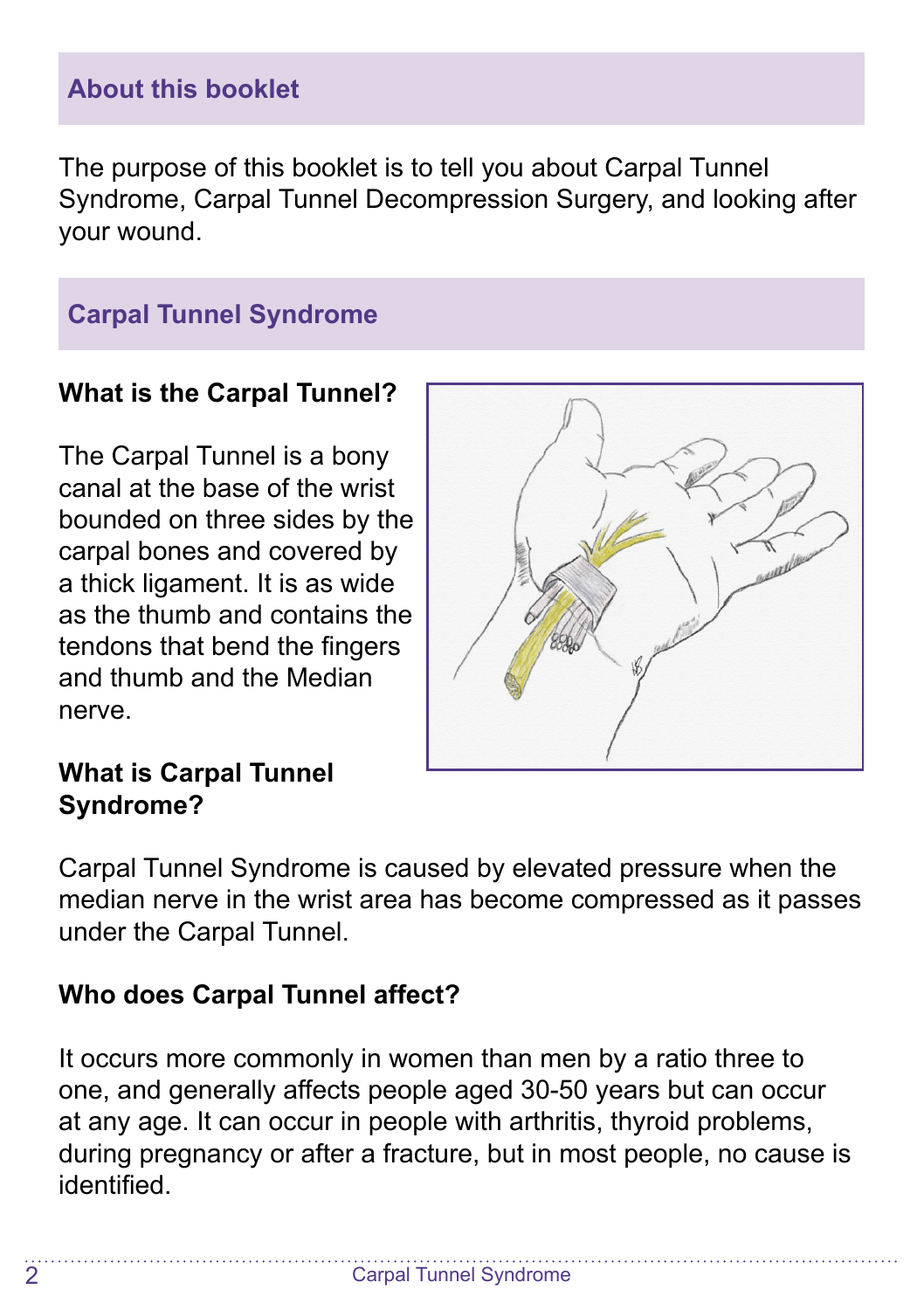## **About this booklet**

The purpose of this booklet is to tell you about Carpal Tunnel Syndrome, Carpal Tunnel Decompression Surgery, and looking after your wound.

## **Carpal Tunnel Syndrome**

#### **What is the Carpal Tunnel?**

The Carpal Tunnel is a bony canal at the base of the wrist bounded on three sides by the carpal bones and covered by a thick ligament. It is as wide as the thumb and contains the tendons that bend the fingers and thumb and the Median nerve.



## **What is Carpal Tunnel Syndrome?**

Carpal Tunnel Syndrome is caused by elevated pressure when the median nerve in the wrist area has become compressed as it passes under the Carpal Tunnel.

## **Who does Carpal Tunnel affect?**

It occurs more commonly in women than men by a ratio three to one, and generally affects people aged 30-50 years but can occur at any age. It can occur in people with arthritis, thyroid problems, during pregnancy or after a fracture, but in most people, no cause is identified.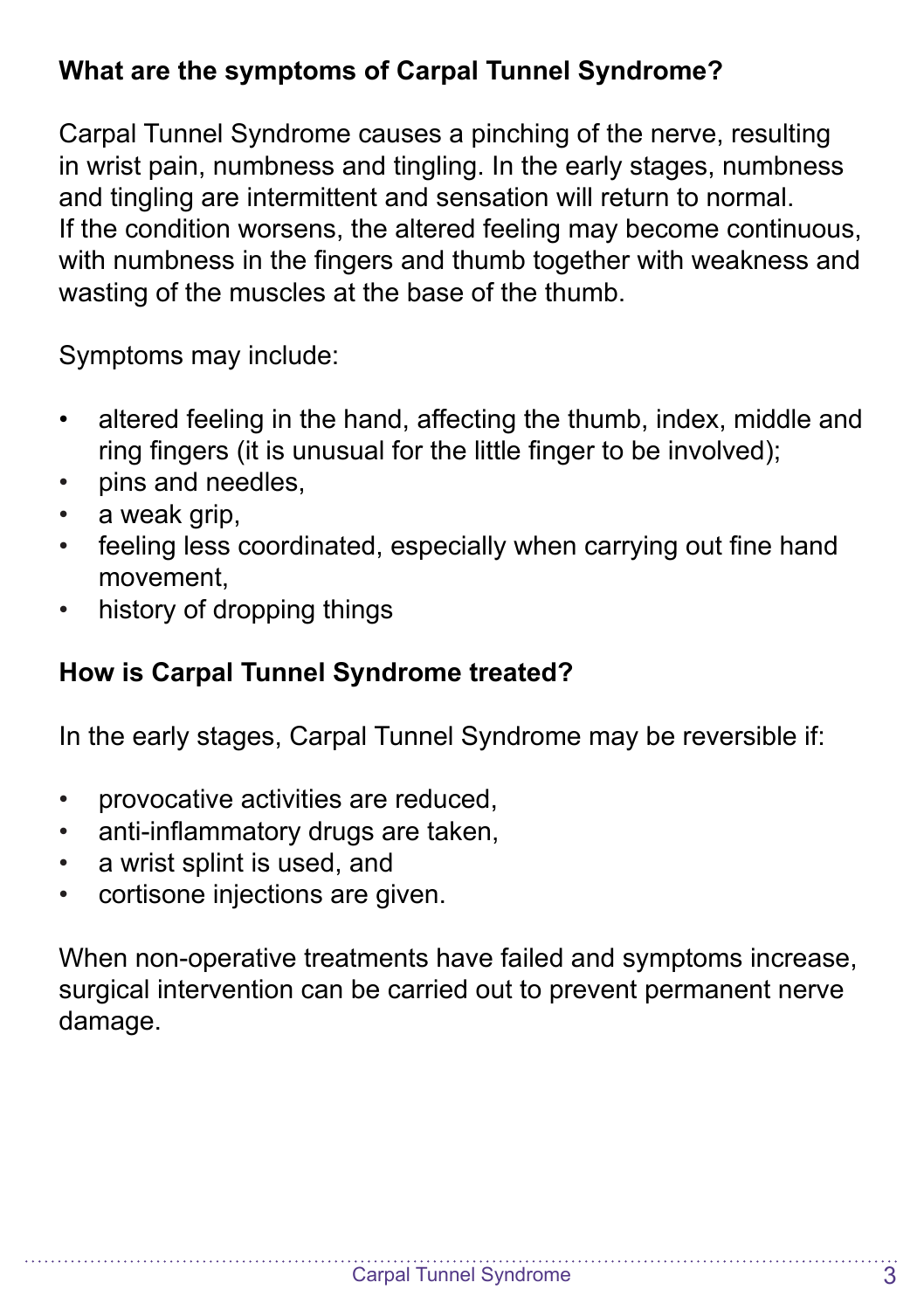## **What are the symptoms of Carpal Tunnel Syndrome?**

Carpal Tunnel Syndrome causes a pinching of the nerve, resulting in wrist pain, numbness and tingling. In the early stages, numbness and tingling are intermittent and sensation will return to normal. If the condition worsens, the altered feeling may become continuous, with numbness in the fingers and thumb together with weakness and wasting of the muscles at the base of the thumb.

Symptoms may include:

- altered feeling in the hand, affecting the thumb, index, middle and ring fingers (it is unusual for the little finger to be involved);
- pins and needles,
- a weak grip,
- feeling less coordinated, especially when carrying out fine hand movement,
- history of dropping things

## **How is Carpal Tunnel Syndrome treated?**

In the early stages, Carpal Tunnel Syndrome may be reversible if:

- provocative activities are reduced,
- anti-inflammatory drugs are taken,
- a wrist splint is used, and
- cortisone injections are given.

When non-operative treatments have failed and symptoms increase, surgical intervention can be carried out to prevent permanent nerve damage.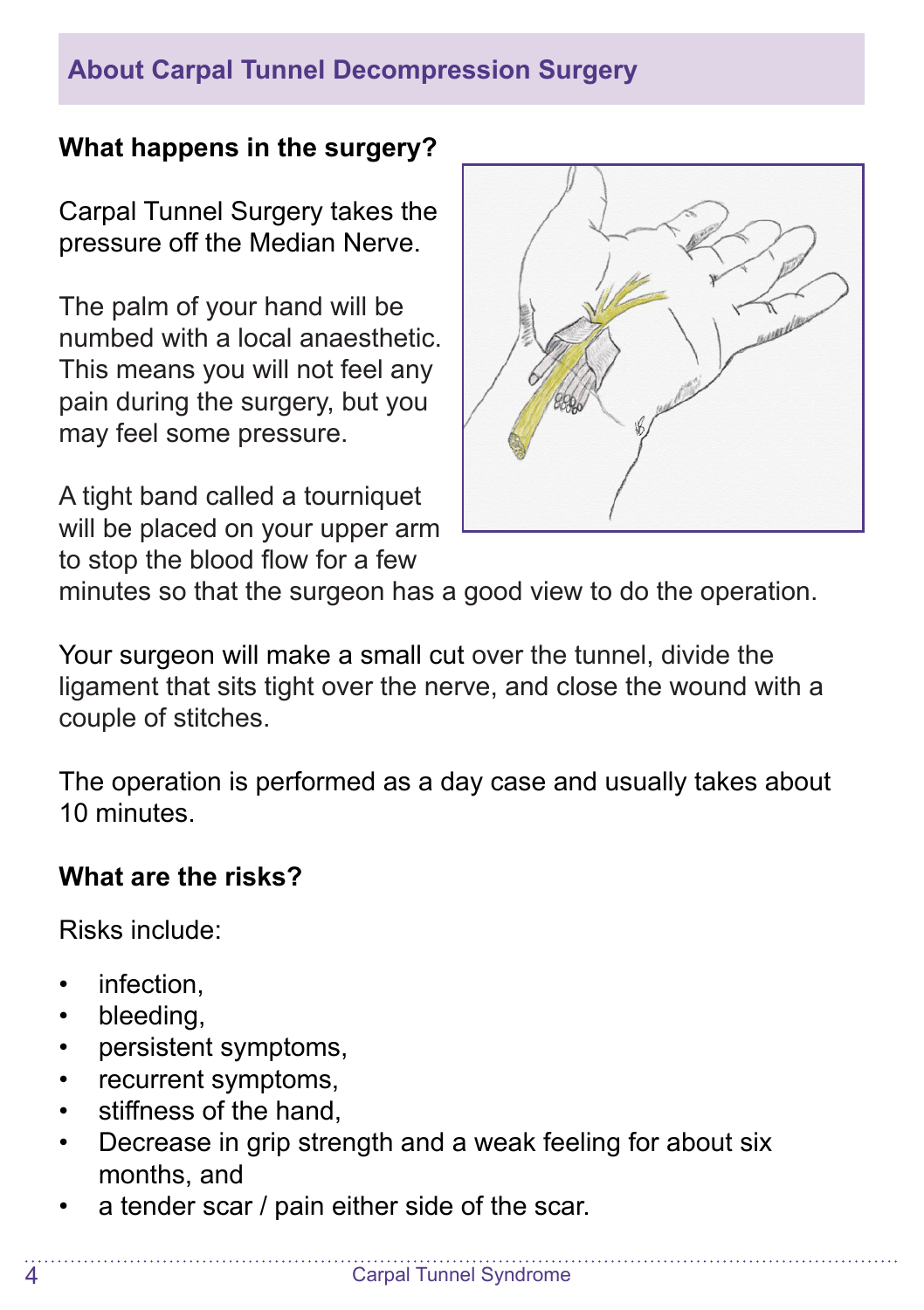## **About Carpal Tunnel Decompression Surgery**

## **What happens in the surgery?**

Carpal Tunnel Surgery takes the pressure off the Median Nerve.

The palm of your hand will be numbed with a local anaesthetic. This means you will not feel any pain during the surgery, but you may feel some pressure.

A tight band called a tourniquet will be placed on your upper arm to stop the blood flow for a few



minutes so that the surgeon has a good view to do the operation.

Your surgeon will make a small cut over the tunnel, divide the ligament that sits tight over the nerve, and close the wound with a couple of stitches.

The operation is performed as a day case and usually takes about 10 minutes.

## **What are the risks?**

Risks include:

- infection.
- bleeding.
- persistent symptoms,
- recurrent symptoms,
- stiffness of the hand
- Decrease in grip strength and a weak feeling for about six months, and
- a tender scar / pain either side of the scar.

 $\overline{\mathbf{A}}$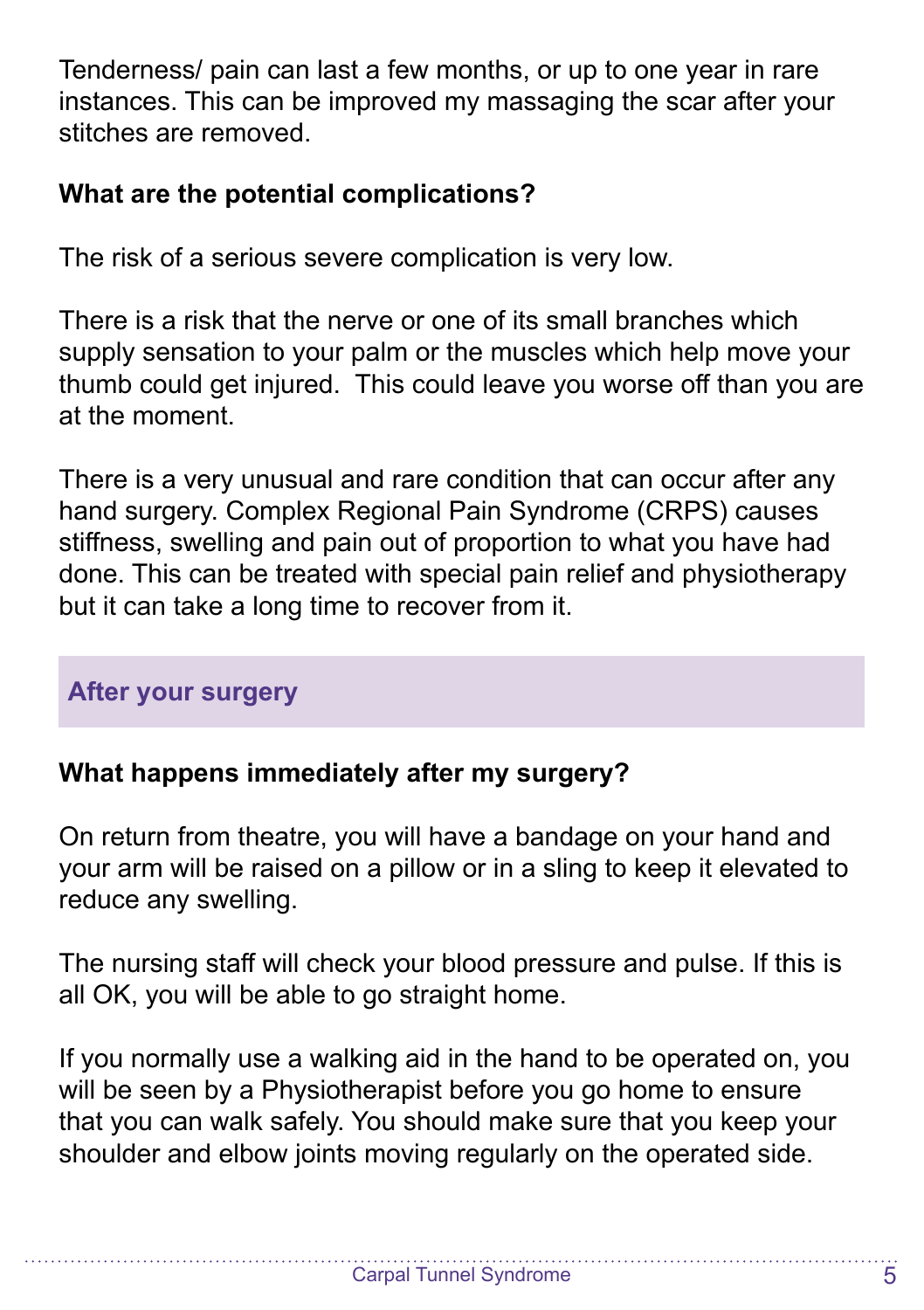Tenderness/ pain can last a few months, or up to one year in rare instances. This can be improved my massaging the scar after your stitches are removed.

## **What are the potential complications?**

The risk of a serious severe complication is very low.

There is a risk that the nerve or one of its small branches which supply sensation to your palm or the muscles which help move your thumb could get injured. This could leave you worse off than you are at the moment.

There is a very unusual and rare condition that can occur after any hand surgery. Complex Regional Pain Syndrome (CRPS) causes stiffness, swelling and pain out of proportion to what you have had done. This can be treated with special pain relief and physiotherapy but it can take a long time to recover from it.

## **After your surgery**

## **What happens immediately after my surgery?**

On return from theatre, you will have a bandage on your hand and your arm will be raised on a pillow or in a sling to keep it elevated to reduce any swelling.

The nursing staff will check your blood pressure and pulse. If this is all OK, you will be able to go straight home.

If you normally use a walking aid in the hand to be operated on, you will be seen by a Physiotherapist before you go home to ensure that you can walk safely. You should make sure that you keep your shoulder and elbow joints moving regularly on the operated side.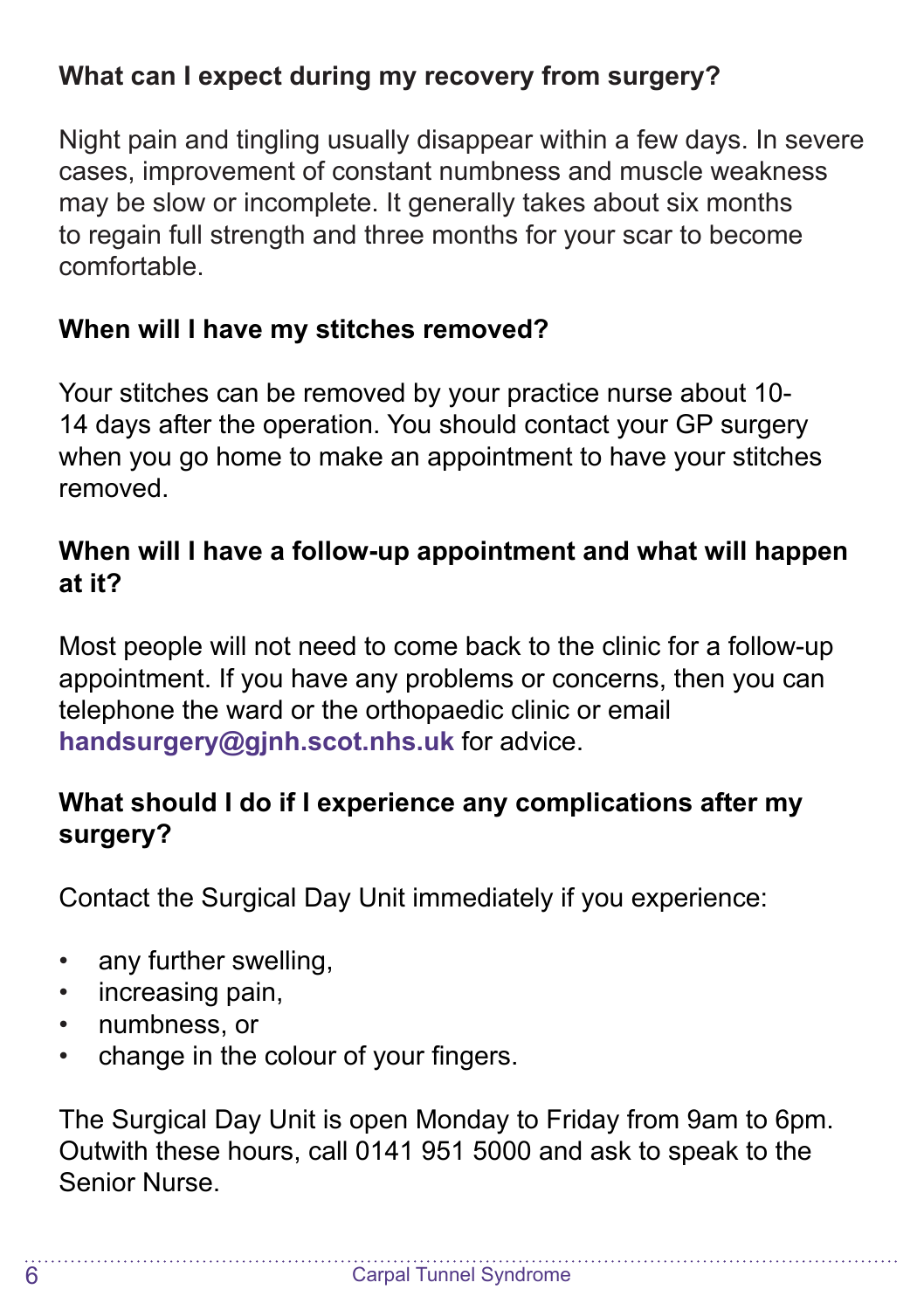## **What can I expect during my recovery from surgery?**

Night pain and tingling usually disappear within a few days. In severe cases, improvement of constant numbness and muscle weakness may be slow or incomplete. It generally takes about six months to regain full strength and three months for your scar to become comfortable.

## **When will I have my stitches removed?**

Your stitches can be removed by your practice nurse about 10- 14 days after the operation. You should contact your GP surgery when you go home to make an appointment to have your stitches removed.

## **When will I have a follow-up appointment and what will happen at it?**

Most people will not need to come back to the clinic for a follow-up appointment. If you have any problems or concerns, then you can telephone the ward or the orthopaedic clinic or email **handsurgery@gjnh.scot.nhs.uk** for advice.

## **What should I do if I experience any complications after my surgery?**

Contact the Surgical Day Unit immediately if you experience:

- any further swelling,
- increasing pain,
- numbness, or
- change in the colour of your fingers.

The Surgical Day Unit is open Monday to Friday from 9am to 6pm. Outwith these hours, call 0141 951 5000 and ask to speak to the Senior Nurse.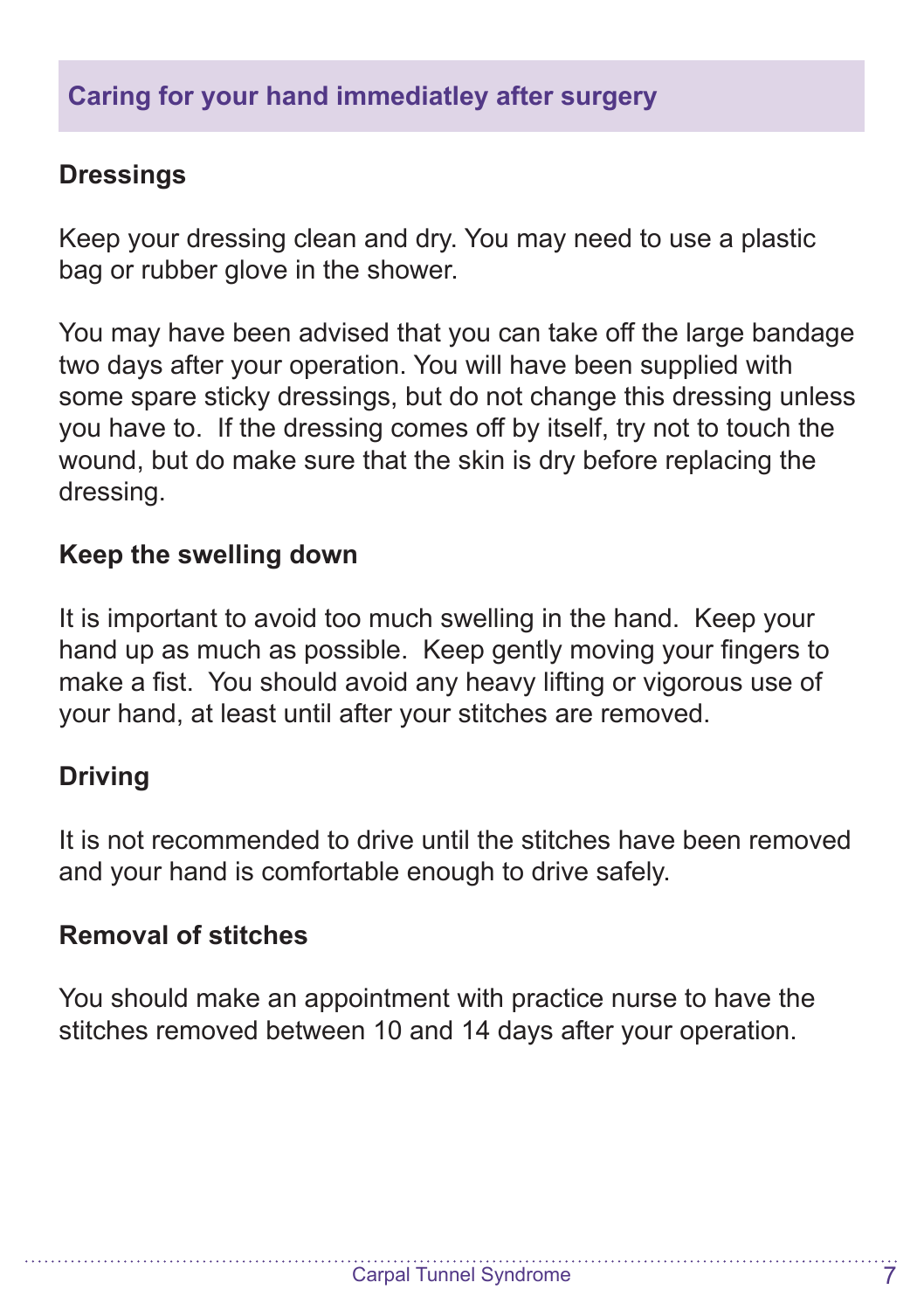#### **Dressings**

Keep your dressing clean and dry. You may need to use a plastic bag or rubber glove in the shower.

You may have been advised that you can take off the large bandage two days after your operation. You will have been supplied with some spare sticky dressings, but do not change this dressing unless you have to. If the dressing comes off by itself, try not to touch the wound, but do make sure that the skin is dry before replacing the dressing.

#### **Keep the swelling down**

It is important to avoid too much swelling in the hand. Keep your hand up as much as possible. Keep gently moving your fingers to make a fist. You should avoid any heavy lifting or vigorous use of your hand, at least until after your stitches are removed.

#### **Driving**

It is not recommended to drive until the stitches have been removed and your hand is comfortable enough to drive safely.

#### **Removal of stitches**

You should make an appointment with practice nurse to have the stitches removed between 10 and 14 days after your operation.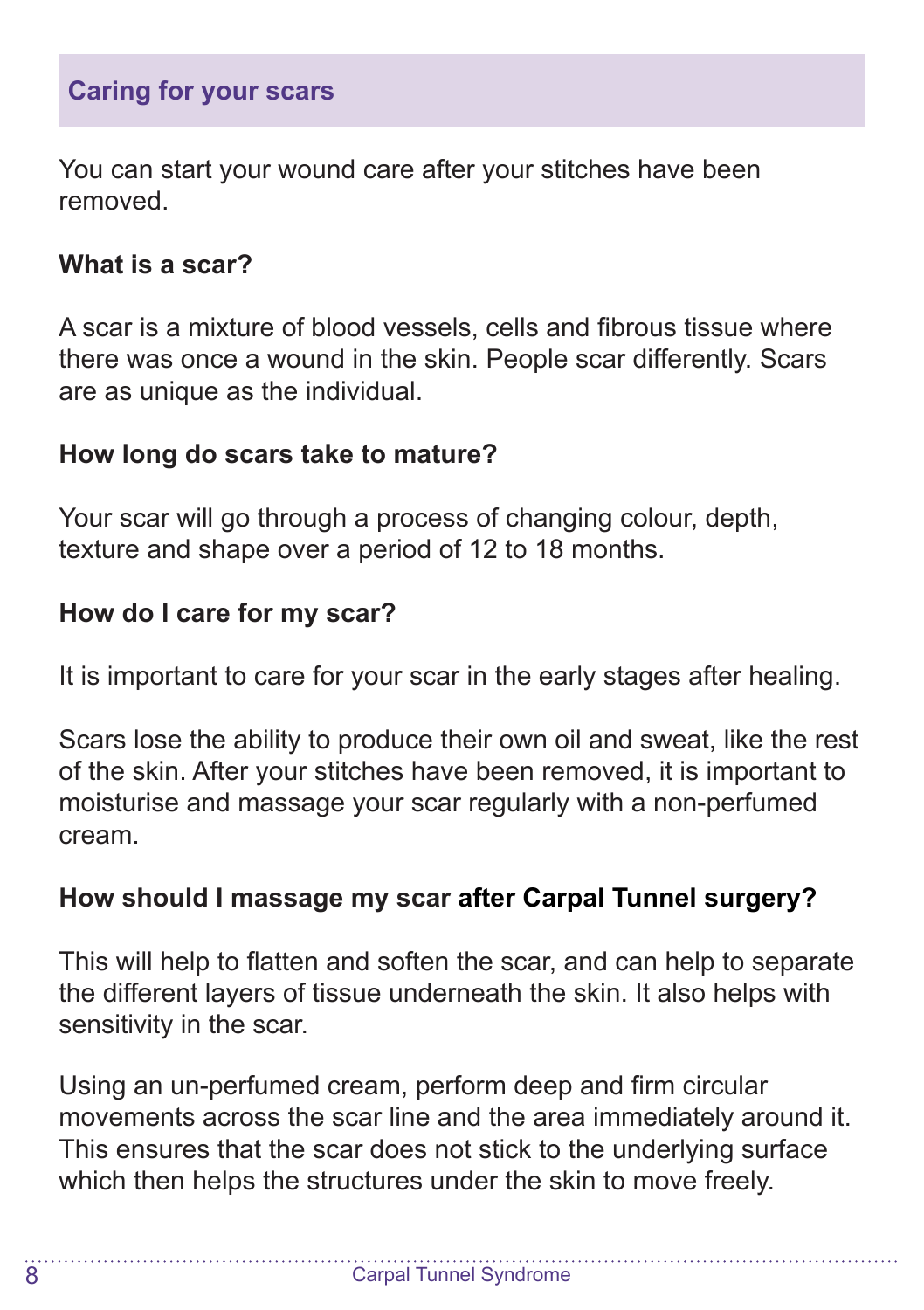You can start your wound care after your stitches have been removed.

## **What is a scar?**

A scar is a mixture of blood vessels, cells and fibrous tissue where there was once a wound in the skin. People scar differently. Scars are as unique as the individual.

## **How long do scars take to mature?**

Your scar will go through a process of changing colour, depth, texture and shape over a period of 12 to 18 months.

## **How do I care for my scar?**

It is important to care for your scar in the early stages after healing.

Scars lose the ability to produce their own oil and sweat, like the rest of the skin. After your stitches have been removed, it is important to moisturise and massage your scar regularly with a non-perfumed cream.

## **How should I massage my scar after Carpal Tunnel surgery?**

This will help to flatten and soften the scar, and can help to separate the different layers of tissue underneath the skin. It also helps with sensitivity in the scar.

Using an un-perfumed cream, perform deep and firm circular movements across the scar line and the area immediately around it. This ensures that the scar does not stick to the underlying surface which then helps the structures under the skin to move freely.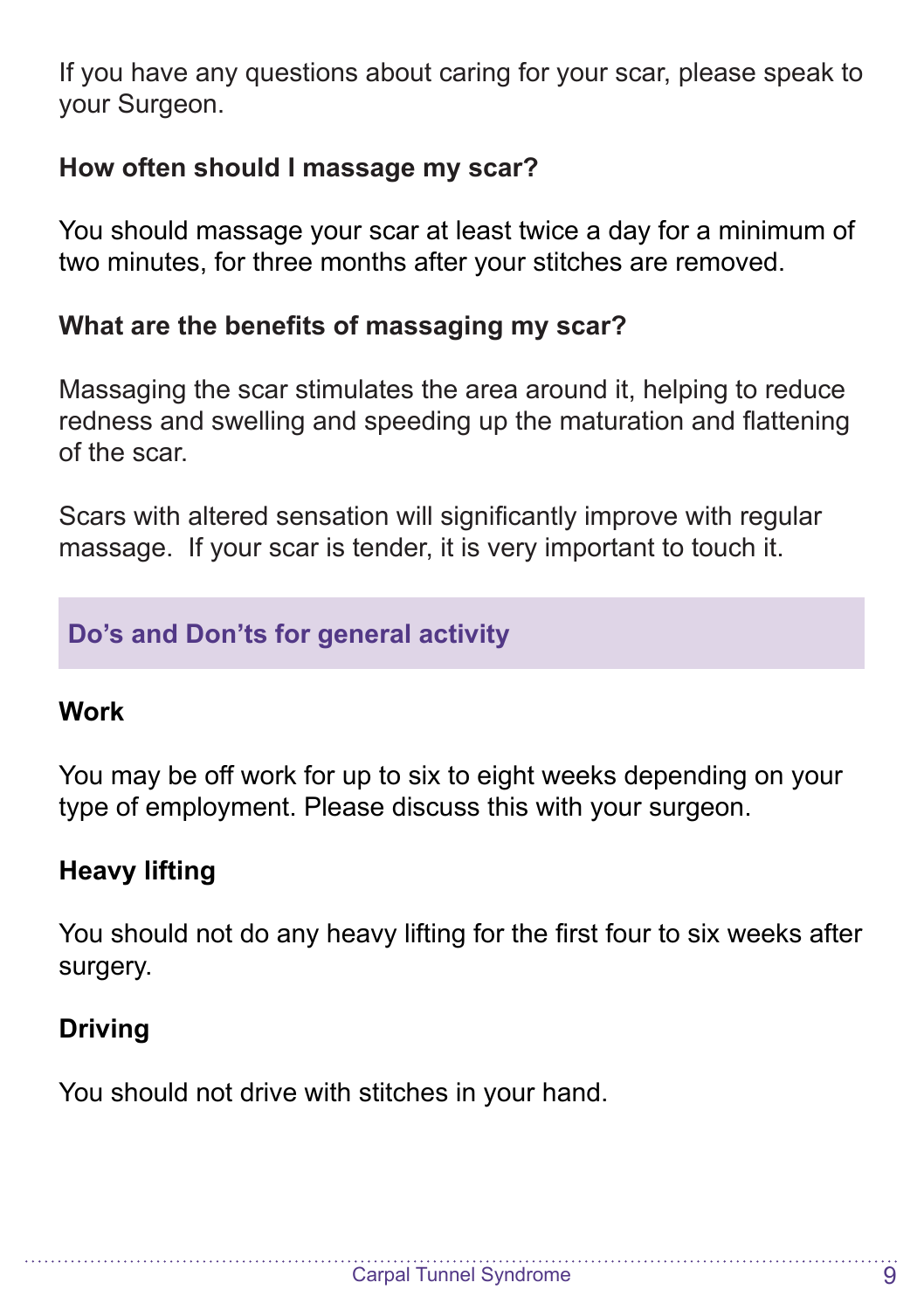If you have any questions about caring for your scar, please speak to your Surgeon.

## **How often should I massage my scar?**

You should massage your scar at least twice a day for a minimum of two minutes, for three months after your stitches are removed.

## **What are the benefits of massaging my scar?**

Massaging the scar stimulates the area around it, helping to reduce redness and swelling and speeding up the maturation and flattening of the scar.

Scars with altered sensation will significantly improve with regular massage. If your scar is tender, it is very important to touch it.

## **Do's and Don'ts for general activity**

## **Work**

You may be off work for up to six to eight weeks depending on your type of employment. Please discuss this with your surgeon.

## **Heavy lifting**

You should not do any heavy lifting for the first four to six weeks after surgery.

## **Driving**

You should not drive with stitches in your hand.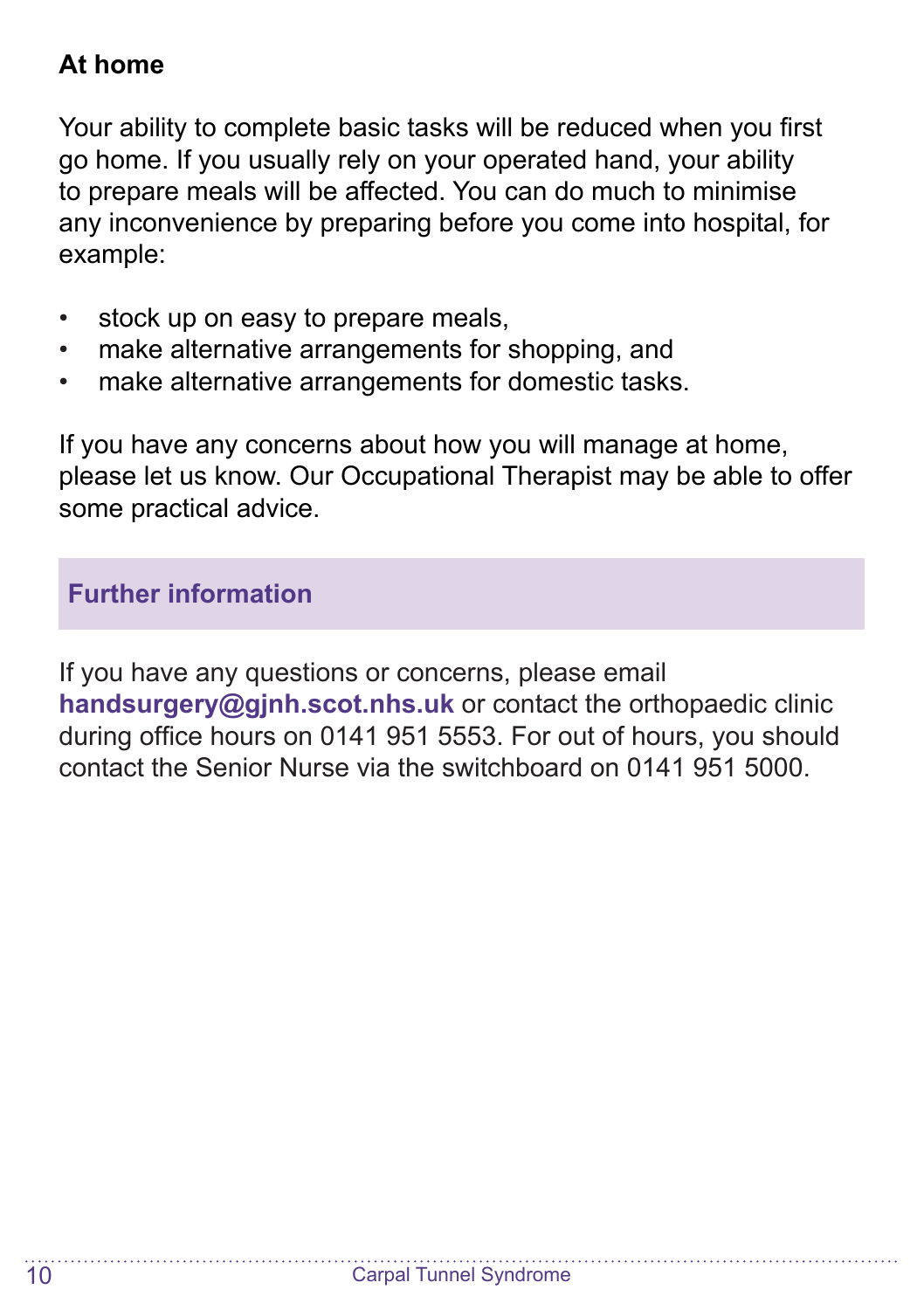## **At home**

Your ability to complete basic tasks will be reduced when you first go home. If you usually rely on your operated hand, your ability to prepare meals will be affected. You can do much to minimise any inconvenience by preparing before you come into hospital, for example:

- stock up on easy to prepare meals.
- make alternative arrangements for shopping, and
- make alternative arrangements for domestic tasks.

If you have any concerns about how you will manage at home, please let us know. Our Occupational Therapist may be able to offer some practical advice.

**Further information**

If you have any questions or concerns, please email **handsurgery@gjnh.scot.nhs.uk** or contact the orthopaedic clinic during office hours on 0141 951 5553. For out of hours, you should contact the Senior Nurse via the switchboard on 0141 951 5000.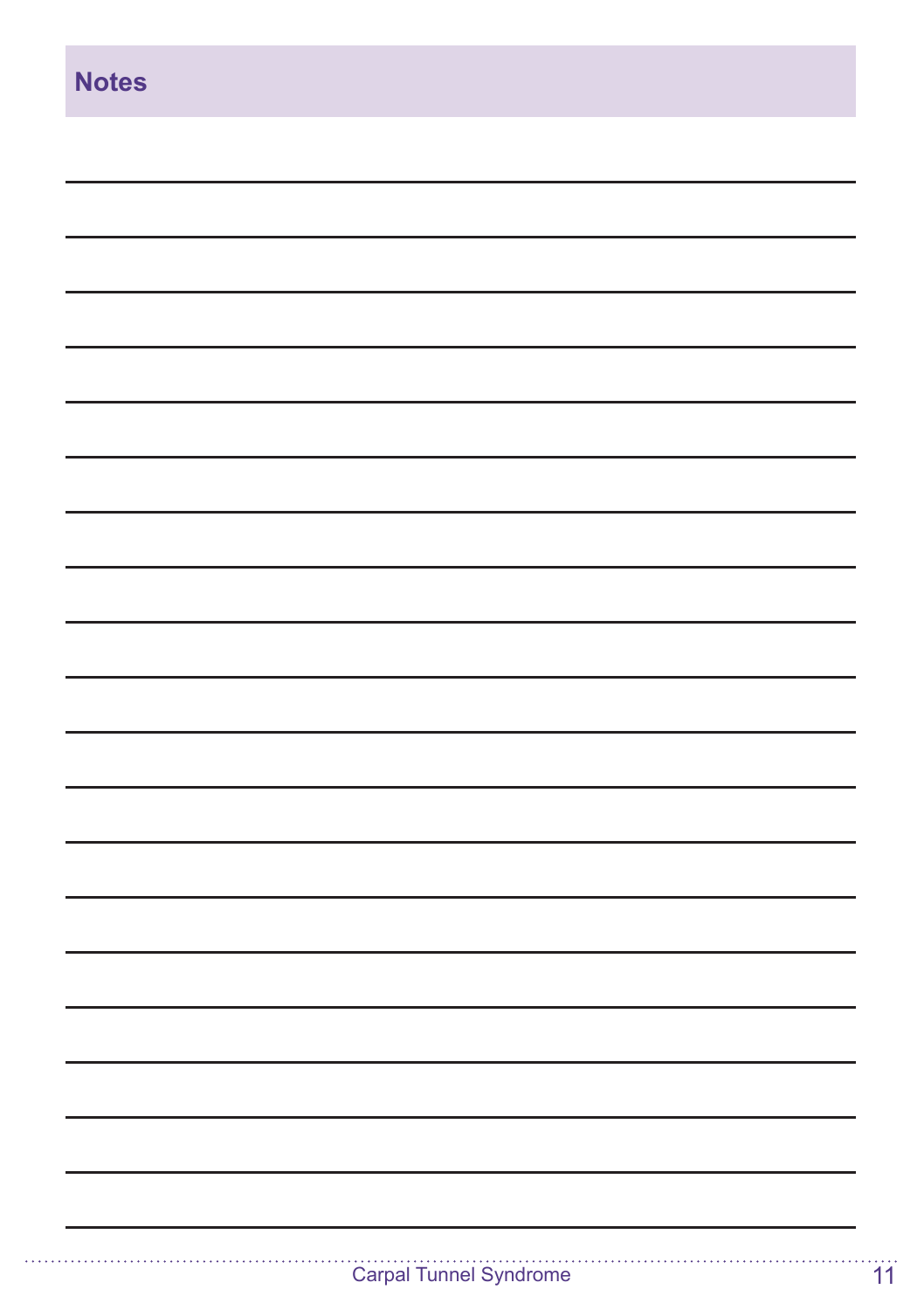| <b>Notes</b> |
|--------------|
|              |
|              |
|              |
|              |
|              |
|              |
|              |
|              |
|              |
|              |
|              |
|              |
|              |
|              |
|              |
|              |
|              |